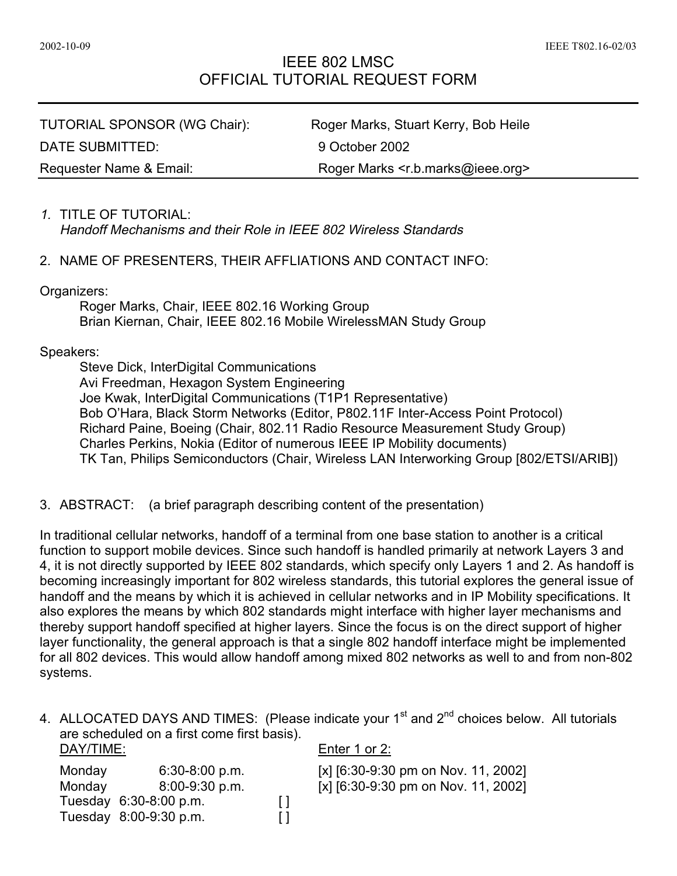## IEEE 802 LMSC OFFICIAL TUTORIAL REQUEST FORM

TUTORIAL SPONSOR (WG Chair): Roger Marks, Stuart Kerry, Bob Heile DATE SUBMITTED: 9 October 2002

Requester Name & Email: Roger Marks <r.b.marks@ieee.org>

# 1. TITLE OF TUTORIAL:

Handoff Mechanisms and their Role in IEEE 802 Wireless Standards

### 2. NAME OF PRESENTERS, THEIR AFFLIATIONS AND CONTACT INFO:

Organizers:

Roger Marks, Chair, IEEE 802.16 Working Group Brian Kiernan, Chair, IEEE 802.16 Mobile WirelessMAN Study Group

#### Speakers:

Steve Dick, InterDigital Communications Avi Freedman, Hexagon System Engineering Joe Kwak, InterDigital Communications (T1P1 Representative) Bob O'Hara, Black Storm Networks (Editor, P802.11F Inter-Access Point Protocol) Richard Paine, Boeing (Chair, 802.11 Radio Resource Measurement Study Group) Charles Perkins, Nokia (Editor of numerous IEEE IP Mobility documents) TK Tan, Philips Semiconductors (Chair, Wireless LAN Interworking Group [802/ETSI/ARIB])

3. ABSTRACT: (a brief paragraph describing content of the presentation)

In traditional cellular networks, handoff of a terminal from one base station to another is a critical function to support mobile devices. Since such handoff is handled primarily at network Layers 3 and 4, it is not directly supported by IEEE 802 standards, which specify only Layers 1 and 2. As handoff is becoming increasingly important for 802 wireless standards, this tutorial explores the general issue of handoff and the means by which it is achieved in cellular networks and in IP Mobility specifications. It also explores the means by which 802 standards might interface with higher layer mechanisms and thereby support handoff specified at higher layers. Since the focus is on the direct support of higher layer functionality, the general approach is that a single 802 handoff interface might be implemented for all 802 devices. This would allow handoff among mixed 802 networks as well to and from non-802 systems.

4. ALLOCATED DAYS AND TIMES: (Please indicate your 1<sup>st</sup> and 2<sup>nd</sup> choices below. All tutorials are scheduled on a first come first basis).

| DAY/TIME: |                        |    | Enter 1 or 2:                                  |
|-----------|------------------------|----|------------------------------------------------|
| Monday    | $6:30-8:00$ p.m.       |    | [x] $[6:30-9:30 \text{ pm on Nov. } 11, 2002]$ |
| Monday    | 8:00-9:30 p.m.         |    | [x] $[6:30-9:30 \text{ pm on Nov. } 11, 2002]$ |
|           | Tuesday 6:30-8:00 p.m. | Ιl |                                                |
|           | Tuesday 8:00-9:30 p.m. |    |                                                |